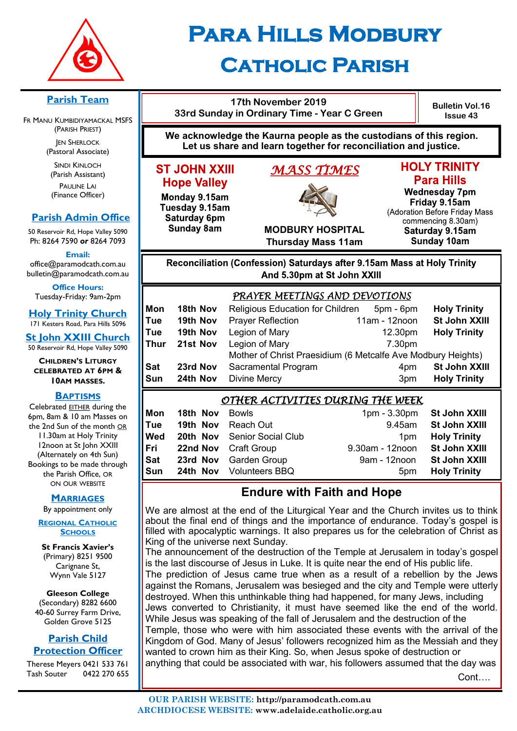

## **Para Hills Modbury Catholic Parish**

#### **Parish Team**

FR MANU KUMBIDIYAMACKAL MSFS (PARISH PRIEST) **JEN SHERLOCK** 

(Pastoral Associate)

SINDI KINLOCH (Parish Assistant) PAULINE LAI (Finance Officer)

#### **Parish Admin Office**

50 Reservoir Rd, Hope Valley 5090 Ph: 8264 7590 *or* 8264 7093

**Email:** 

office@paramodcath.com.au bulletin@paramodcath.com.au

**Office Hours:**  Tuesday-Friday: 9am-2pm

**Holy Trinity Church** 171 Kesters Road, Para Hills 5096

**St John XXIII Church** 50 Reservoir Rd, Hope Valley 5090

#### **CHILDREN'S LITURGY CELEBRATED AT 6PM & 10AM MASSES.**

#### **BAPTISMS**

Celebrated EITHER during the 6pm, 8am & 10 am Masses on the 2nd Sun of the month OR 11.30am at Holy Trinity 12noon at St John XXIII (Alternately on 4th Sun) Bookings to be made through the Parish Office, OR ON OUR WEBSITE

#### **MARRIAGES**

By appointment only

**REGIONAL CATHOLIC SCHOOLS**

**St Francis Xavier's**  (Primary) 8251 9500 Carignane St, Wynn Vale 5127

**Gleeson College**  (Secondary) 8282 6600 40-60 Surrey Farm Drive, Golden Grove 5125

#### **Parish Child Protection Officer**

Therese Meyers 0421 533 761 Tash Souter 0422 270 655

#### **We acknowledge the Kaurna people as the custodians of this region. Let us share and learn together for reconciliation and justice.**

**17th November 2019 33rd Sunday in Ordinary Time - Year C Green** 

#### **ST JOHN XXIII Hope Valley**

Monday 9.15am Tuesday 9.15am Saturday 6pm **Sunday 8am** 

# *MASS TIMES*

## **HOLY TRINITY**

**Bulletin Vol.16 Issue 43**

**Para Hills Wednesday 7pm** Friday 9.15am (Adoration Before Friday Mass commencing 8.30am) Saturday 9.15am **Sunday 10am** 

#### **MODBURY HOSPITAL Thursday Mass 11am**

Reconciliation (Confession) Saturdays after 9.15am Mass at Holy Trinity And 5.30pm at St John XXIII

|                                  |          | PRAYER MEETINGS AND DEVOTIONS                                |               |                     |
|----------------------------------|----------|--------------------------------------------------------------|---------------|---------------------|
| Mon                              | 18th Nov | Religious Education for Children                             | 5pm - 6pm     | <b>Holy Trinity</b> |
| Tue                              | 19th Nov | <b>Prayer Reflection</b>                                     | 11am - 12noon | St John XXIII       |
| Tue                              | 19th Nov | Legion of Mary                                               | 12.30pm       | <b>Holy Trinity</b> |
| Thur                             | 21st Nov | Legion of Mary                                               | 7.30pm        |                     |
|                                  |          | Mother of Christ Praesidium (6 Metcalfe Ave Modbury Heights) |               |                     |
| Sat                              | 23rd Nov | Sacramental Program                                          | 4pm           | St John XXIII       |
| Sun                              | 24th Nov | <b>Divine Mercy</b>                                          | 3pm           | <b>Holy Trinity</b> |
| OTHER ACTIVITIES DURING THE WEEV |          |                                                              |               |                     |

#### *OTHER ACTIVITIES DURING THE WEEK*

| Mon | <b>18th Nov</b> Bowls |                                | 1pm - 3.30pm St John XXIII    |                     |
|-----|-----------------------|--------------------------------|-------------------------------|---------------------|
| Tue |                       | <b>19th Nov</b> Reach Out      | 9.45am                        | St John XXIII       |
| Wed |                       | 20th Nov Senior Social Club    | 1 <sub>pm</sub>               | <b>Holy Trinity</b> |
| Fri |                       | <b>22nd Nov</b> Craft Group    | 9.30am - 12noon St John XXIII |                     |
| Sat |                       | 23rd Nov Garden Group          | 9am - 12noon                  | St John XXIII       |
| Sun |                       | <b>24th Nov</b> Volunteers BBQ | 5 <sub>pm</sub>               | <b>Holy Trinity</b> |

#### **Endure with Faith and Hope**

We are almost at the end of the Liturgical Year and the Church invites us to think about the final end of things and the importance of endurance. Today's gospel is filled with apocalyptic warnings. It also prepares us for the celebration of Christ as King of the universe next Sunday.

The announcement of the destruction of the Temple at Jerusalem in today's gospel is the last discourse of Jesus in Luke. It is quite near the end of His public life. The prediction of Jesus came true when as a result of a rebellion by the Jews against the Romans, Jerusalem was besieged and the city and Temple were utterly destroyed. When this unthinkable thing had happened, for many Jews, including Jews converted to Christianity, it must have seemed like the end of the world. While Jesus was speaking of the fall of Jerusalem and the destruction of the Temple, those who were with him associated these events with the arrival of the Kingdom of God. Many of Jesus' followers recognized him as the Messiah and they wanted to crown him as their King. So, when Jesus spoke of destruction or anything that could be associated with war, his followers assumed that the day was

Cont….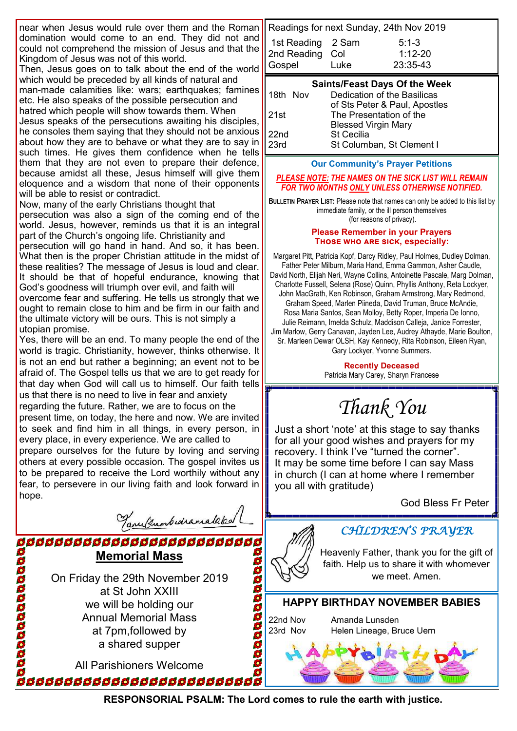near when Jesus would rule over them and the Roman domination would come to an end. They did not and could not comprehend the mission of Jesus and that the Kingdom of Jesus was not of this world.

Then, Jesus goes on to talk about the end of the world which would be preceded by all kinds of natural and man-made calamities like: wars; earthquakes; famines etc. He also speaks of the possible persecution and hatred which people will show towards them. When Jesus speaks of the persecutions awaiting his disciples, he consoles them saying that they should not be anxious about how they are to behave or what they are to say in such times. He gives them confidence when he tells them that they are not even to prepare their defence, because amidst all these, Jesus himself will give them eloquence and a wisdom that none of their opponents will be able to resist or contradict.

Now, many of the early Christians thought that persecution was also a sign of the coming end of the world. Jesus, however, reminds us that it is an integral part of the Church's ongoing life. Christianity and persecution will go hand in hand. And so, it has been. What then is the proper Christian attitude in the midst of these realities? The message of Jesus is loud and clear. It should be that of hopeful endurance, knowing that God's goodness will triumph over evil, and faith will overcome fear and suffering. He tells us strongly that we ought to remain close to him and be firm in our faith and the ultimate victory will be ours. This is not simply a utopian promise.

Yes, there will be an end. To many people the end of the world is tragic. Christianity, however, thinks otherwise. It is not an end but rather a beginning; an event not to be afraid of. The Gospel tells us that we are to get ready for that day when God will call us to himself. Our faith tells us that there is no need to live in fear and anxiety regarding the future. Rather, we are to focus on the present time, on today, the here and now. We are invited to seek and find him in all things, in every person, in every place, in every experience. We are called to prepare ourselves for the future by loving and serving others at every possible occasion. The gospel invites us to be prepared to receive the Lord worthily without any fear, to persevere in our living faith and look forward in hope.

Tanulumbudramalaka

**Memorial Mass** On Friday the 29th November 2019 at St John XXIII we will be holding our Annual Memorial Mass at 7pm,followed by a shared supper

00000000000000

ddddddddddddddddddddddd

All Parishioners Welcome .<br>66666666666666666666666666

| Readings for next Sunday, 24th Nov 2019 |      |             |
|-----------------------------------------|------|-------------|
| 1st Reading 2 Sam                       |      | $5:1-3$     |
| 2nd Reading Col                         |      | $1:12 - 20$ |
| Gospel                                  | Luke | 23:35-43    |

|              | <b>Saints/Feast Days Of the Week</b> |
|--------------|--------------------------------------|
| 18th Nov     | Dedication of the Basilicas          |
|              | of Sts Peter & Paul, Apostles        |
| 21st         | The Presentation of the              |
|              | <b>Blessed Virgin Mary</b>           |
| 22nd<br>23rd | <b>St Cecilia</b>                    |
|              | St Columban, St Clement I            |

**Our Community's Prayer Petitions** 

*PLEASE NOTE: THE NAMES ON THE SICK LIST WILL REMAIN FOR TWO MONTHS ONLY UNLESS OTHERWISE NOTIFIED.*

**BULLETIN PRAYER LIST:** Please note that names can only be added to this list by immediate family, or the ill person themselves (for reasons of privacy).

#### **Please Remember in your Prayers Those who are sick, especially:**

Margaret Pitt, Patricia Kopf, Darcy Ridley, Paul Holmes, Dudley Dolman, Father Peter Milburn, Maria Hand, Emma Gammon, Asher Caudle, David North, Elijah Neri, Wayne Collins, Antoinette Pascale, Marg Dolman, Charlotte Fussell, Selena (Rose) Quinn, Phyllis Anthony, Reta Lockyer, John MacGrath, Ken Robinson, Graham Armstrong, Mary Redmond, Graham Speed, Marlen Piineda, David Truman, Bruce McAndie, Rosa Maria Santos, Sean Molloy, Betty Roper, Imperia De Ionno, Julie Reimann, Imelda Schulz, Maddison Calleja, Janice Forrester, Jim Marlow, Gerry Canavan, Jayden Lee, Audrey Athayde, Marie Boulton, Sr. Marleen Dewar OLSH, Kay Kennedy, Rita Robinson, Eileen Ryan, Gary Lockyer, Yvonne Summers.

> **Recently Deceased** Patricia Mary Carey, Sharyn Francese

*Thank You*

Just a short 'note' at this stage to say thanks for all your good wishes and prayers for my recovery. I think I've "turned the corner". It may be some time before I can say Mass in church (I can at home where I remember you all with gratitude)

God Bless Fr Peter



#### *CHILDREN'S PRAYER*

Heavenly Father, thank you for the gift of faith. Help us to share it with whomever we meet. Amen.

#### **HAPPY BIRTHDAY NOVEMBER BABIES**

22nd Nov Amanda Lunsden 23rd Nov Helen Lineage, Bruce Uern



**RESPONSORIAL PSALM: The Lord comes to rule the earth with justice.**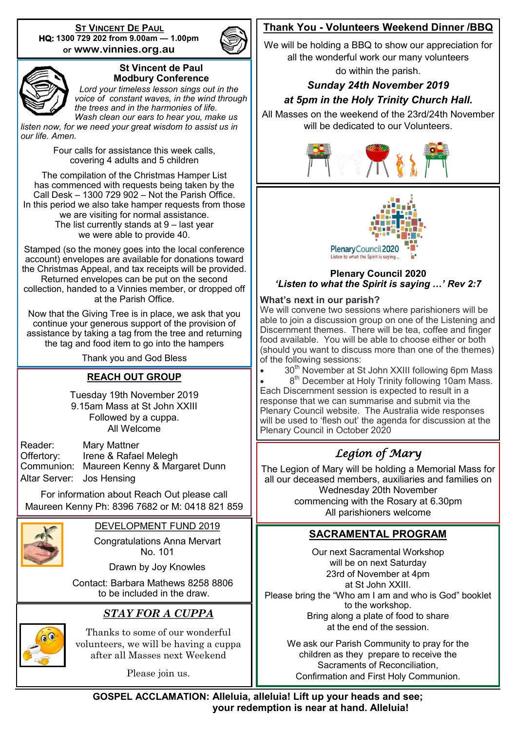**ST VINCENT DE PAUL HQ: 1300 729 202 from 9.00am — 1.00pm or www.vinnies.org.au** 





#### **St Vincent de Paul Modbury Conference**

 *Lord your timeless lesson sings out in the voice of constant waves, in the wind through the trees and in the harmonies of life. Wash clean our ears to hear you, make us* 

*listen now, for we need your great wisdom to assist us in our life. Amen.*

> Four calls for assistance this week calls, covering 4 adults and 5 children

The compilation of the Christmas Hamper List has commenced with requests being taken by the Call Desk  $-$  1300 729 902  $-$  Not the Parish Office. In this period we also take hamper requests from those we are visiting for normal assistance. The list currently stands at 9 – last year we were able to provide 40.

Stamped (so the money goes into the local conference account) envelopes are available for donations toward the Christmas Appeal, and tax receipts will be provided. Returned envelopes can be put on the second collection, handed to a Vinnies member, or dropped off at the Parish Office.

Now that the Giving Tree is in place, we ask that you continue your generous support of the provision of assistance by taking a tag from the tree and returning the tag and food item to go into the hampers

Thank you and God Bless

#### **REACH OUT GROUP**

Tuesday 19th November 2019 9.15am Mass at St John XXIII Followed by a cuppa. All Welcome

| Reader:                   | Mary Mattner                             |
|---------------------------|------------------------------------------|
| Offertory:                | Irene & Rafael Melegh                    |
|                           | Communion: Maureen Kenny & Margaret Dunn |
| Altar Server: Jos Hensing |                                          |

For information about Reach Out please call Maureen Kenny Ph: 8396 7682 or M: 0418 821 859



DEVELOPMENT FUND 2019

Congratulations Anna Mervart No. 101

Drawn by Joy Knowles

 Contact: Barbara Mathews 8258 8806 to be included in the draw.

#### *STAY FOR A CUPPA*



Thanks to some of our wonderful volunteers, we will be having a cuppa after all Masses next Weekend

Please join us.

#### **Thank You - Volunteers Weekend Dinner /BBQ**

We will be holding a BBQ to show our appreciation for all the wonderful work our many volunteers

do within the parish.

#### *Sunday 24th November 2019*

#### *at 5pm in the Holy Trinity Church Hall.*

All Masses on the weekend of the 23rd/24th November will be dedicated to our Volunteers.





#### **Plenary Council 2020** *'Listen to what the Spirit is saying …' Rev 2:7*

#### **What's next in our parish?**

We will convene two sessions where parishioners will be able to join a discussion group on one of the Listening and Discernment themes. There will be tea, coffee and finger food available. You will be able to choose either or both (should you want to discuss more than one of the themes) of the following sessions:

30<sup>th</sup> November at St John XXIII following 6pm Mass

• 8<sup>th</sup> December at Holy Trinity following 10am Mass. Each Discernment session is expected to result in a response that we can summarise and submit via the Plenary Council website. The Australia wide responses will be used to 'flesh out' the agenda for discussion at the Plenary Council in October 2020

#### *Legion of Mary*

The Legion of Mary will be holding a Memorial Mass for all our deceased members, auxiliaries and families on Wednesday 20th November commencing with the Rosary at 6.30pm All parishioners welcome

#### **SACRAMENTAL PROGRAM**

Our next Sacramental Workshop will be on next Saturday 23rd of November at 4pm at St John XXIII. Please bring the "Who am I am and who is God" booklet to the workshop. Bring along a plate of food to share at the end of the session.

We ask our Parish Community to pray for the children as they prepare to receive the Sacraments of Reconciliation, Confirmation and First Holy Communion.

**GOSPEL ACCLAMATION: Alleluia, alleluia! Lift up your heads and see; your redemption is near at hand. Alleluia!**